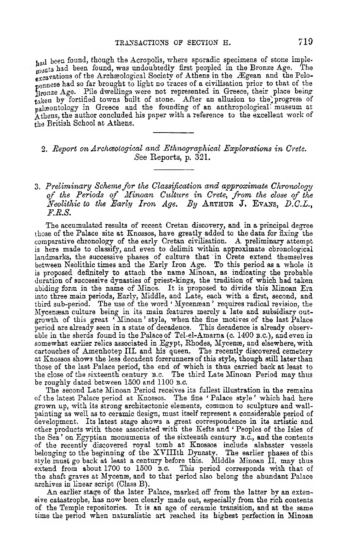had been found, though the Acropolis, where sporadic specimens of stone imple-<br>Lunta had been found, was undoubtedly first peopled in the Bronze Age. The ments had been found, was undoubtedly first peopled in the Bronze Age. excavations of the Archaeological Society of Athens in the Ægean and the Pelo- $_{nonness}$  had so far brought to light no traces of a civilisation prior to that of the Jjronze Age. Pile dwellings were not represented in Greece, their place being  $_{\text{taken}}$  by fortified towns built of stone. After an allusion to the progress of palaeontology in Greece and the founding of an anthropological! museum at Athens, the author concluded his paper with a reference to the excellent work of the British School at Athens.

## 2. *Report on Archeological and Ethnographical Explorations in Crete. See* Reports, p. 321.

## 3. Preliminary Scheme for the Classification and approximate Chronology of the Periods of Minoan Culture in Crete, from the close of the *Neolithic to the Early Iron Age. By* **A rthur** J. **E vans,** *D.C.L*., *F.R.S.*

The accumulated results of recent Cretan discovery, and in a principal degree those of the Palace site at Knossos, have greatly added to the data for fixing the comparative chronology of the early Cretan civilisation. A preliminary attempt is here made to classify, and even to delimit within approximate chronological landmarks, the successive phases of culture that in Crete extend themselves between Neolithic times and the Early Iron Age. To this period as a whole it is proposed definitely to attach the name Minoan, as indicating the probable duration of successive dynasties of priest-kings, the tradition of which had taken abiding form in the name of Minos. It is proposed to divide this Minoan Era into three main periods, Early, Middle, and Late, each with a first, second, and third sub-period. The use of the word \* Mvcensean ' requires radical revision, the Mycenaean culture being in its main features merely a late and subsidiary outgrowth of this great *'* Minoan ' style, when the fine motives of the last Palace period are already seen in a state of decadence. This decadence is already observable in the sherds found in the Palace of Tel-el-Amarna (c. 1400 **b.c.),** and even in somewhat earlier relics associated in Egypt, Rhodes, Mycenæ, and elsewhere, with cartouches of Amenhotep III. and his queen. The recently discovered cemetery at Knossos shows the less decadent forerunners of this style, though still later than those of the last Palace period, the end of which is thus carried back at least to the close of the sixteenth century **B.c.** The third Late Minoan Period may thus be roughly dated between 1500 and 1100 **b.c.**

The second Late Minoan Period receives its fullest illustration in the remains of the latest Palace period at Knossos. The fine \* Palace style ' which had here grown up, with its strong architectonic elements, common to sculpture and wallpainting as well as to ceramic design, must itself represent a considerable period of development. Its latest stage shows a great correspondence in its artistic and other products with those associated with the Kefts and *'* Peoples of the Isles of the Sea ' on Egyptian monuments of the sixteenth century **b.c.,** and the contents of the recently discovered royal tomb at Knossos include alabaster vessels belonging to the beginning of the XVIIIth Dynasty. The earlier phases of this style must go back at least a century before this. Middle Minoan II. may thus extend from about 1700 to 1500 **B.C.** This period corresponds with that of the shaft graves at Mycenæ, and to that period also belong the abundant Palace archives in linear script (Class B).

An earlier stage of the later Palace, marked off from the latter by an extensive catastrophe, has now been clearly made out, especially from the rich contents of the Temple repositories. It is an age of ceramic transition, and at the same time the period when naturalistic art reached its highest perfection in Minoan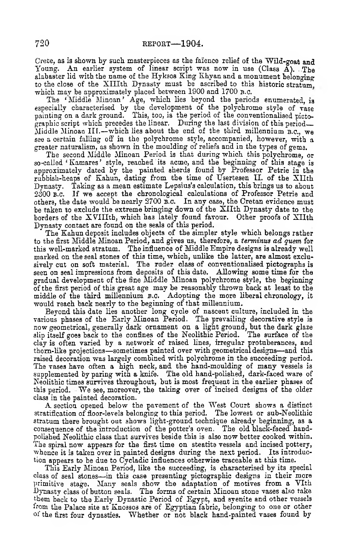Crete, as is shown by such masterpieces as the faïence relief of the Wild-goat and Young. An earlier system of linear script was now in use (Class  $\breve{A}$ ). .The alabaster lid with the name of the Hykaos King Khvan and a monument belonging to the close of the XIIIth Dynasty must be ascribed to this historic stratum. which may be approximately placed between 1900 and 1700 **b.c.**

The ' Middle Minoan' Age, which lies beyond the periods enumerated, is especially characterised by the development of the polychrome style of vase painting on a dark ground. This, too, is the period of the conventionalised pictographic script which precedes the linear. During the last division of this period— Middle Minoan I lf .—which lies about the end of the third millennium **b.c.,** we see a certain falling off in the polychrome style, accompanied, however, with a greater naturalism, as shown in the moulding of reliefs and in the types of gems.

The second Middle Minoan Period is that during which this polychrome, or so-called 'Kamares' style, reached its acme, and the beginning of this stage is approximately dated by the painted sherds found by Professor Petrie in the rubbish-heaps of Kahun, dating from the time of Usertesen II. of the XIIth Dynasty. Taking as a mean estimate Lepsius's calculation, this brings us to about 2300 **B.c.** If we accept the chronological calculations of Professor Petrie and others, the date would be nearly 2700 **B.c.** In any case, the Cretan evidence must be taken to exclude the extreme bringing down of the X llth Dynasty date to the borders of the XVIIIth, which has lately found favour. Other proofs of XIIth Dynasty contact are found on the seals of this period.

The Kahun deposit includes objects of the simpler style which belongs rather to the first Middle Minoan Period, and gives us, therefore, a *terminus ad quern* for this well-marked stratum. The influence of Middle Empire designs is already well marked on the seal stones of this time, which, unlike the latter, are almost exclusively cut on soft material. The ruder class of conventionalised pictographs is seen on seal impressions from deposits of this date. Allowing some time for the gradual development of the fine Middle Minoan polychrome style, the beginning of the first period of this great age may be reasonably thrown back at least to the middle of the third millennium **b.c.** Adopting the more liberal chronology, it would reach back nearly to the beginning of that millennium.

Beyond this date lies another long cycle of nascent culture, included in the various phases of the Early Minoan Period. The prevailing decorative style is now geometrical, generally dark ornament on a light ground, but the dark glaze slip itself goes back to the confines of the Neolithic Period. The surface of the clay is often varied by a network of raised lines, irregular protuberances, and thorn-like projections— sometimes painted over with geometrical designs— and this raised decoration was largely combined with polychrome in the succeeding period. The vases have often a high neck, and the hand-moulding of many vessels is supplemented by paring with a knife. The old hand-polished, dark-faced ware of Neolithic times survives throughout, but is most frequent in the earlier phases of this period. We see, moreover, the taking over of incised designs of the older class in the painted decoration.

A section opened below the pavement of the West Court shows a distinct stratification of floor-levels belonging to this period. The lowest or sub-Neolithic stratum there brought out shows light-ground technique already beginning, as a consequence of the introduction of the potter'3 oven. The old black-faced handpolished Neolithic class that survives beside this is also now better cooked within. The spiral now appears for the first time on steatite vessels and incised pottery, whence it is taken over in painted designs during the next period. Its introduction appears to be due to Cycladic influences otherwise traceable at this time.

This Early Minoan Period, like the succeeding, is characterised by its special class of seal stones— in this case presenting pictographic designs in their more primitive stage. Many seals show the adaptation of motives from a YIth Dynasty class of button seals. The forms of certain Minoan stone vases also take them back to the Early Dynastic Period of Egypt, and syenite and other vessels from the Palace site at Knossos are of Egyptian fabric, belonging to one or other of the first four dynasties. Whether or not black hand-painted vases found by